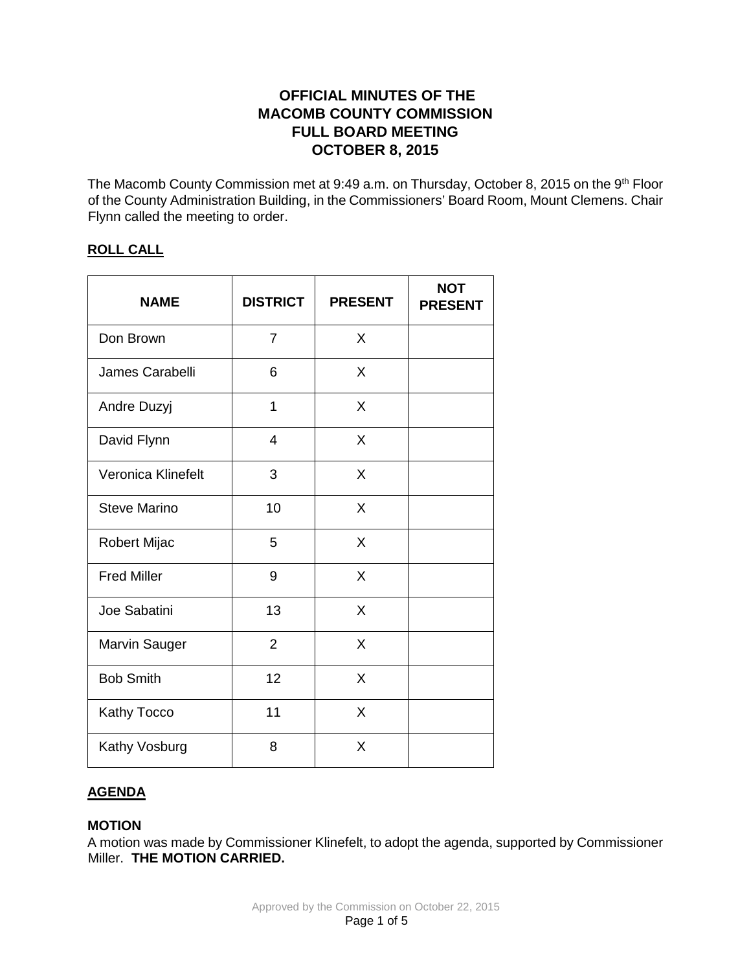# **OFFICIAL MINUTES OF THE MACOMB COUNTY COMMISSION FULL BOARD MEETING OCTOBER 8, 2015**

The Macomb County Commission met at 9:49 a.m. on Thursday, October 8, 2015 on the 9<sup>th</sup> Floor of the County Administration Building, in the Commissioners' Board Room, Mount Clemens. Chair Flynn called the meeting to order.

# **ROLL CALL**

| <b>NAME</b>         | <b>DISTRICT</b> | <b>PRESENT</b> | <b>NOT</b><br><b>PRESENT</b> |
|---------------------|-----------------|----------------|------------------------------|
| Don Brown           | $\overline{7}$  | X              |                              |
| James Carabelli     | 6               | X              |                              |
| Andre Duzyj         | 1               | X              |                              |
| David Flynn         | 4               | X              |                              |
| Veronica Klinefelt  | 3               | X              |                              |
| <b>Steve Marino</b> | 10              | X              |                              |
| Robert Mijac        | 5               | X              |                              |
| <b>Fred Miller</b>  | 9               | X              |                              |
| Joe Sabatini        | 13              | X              |                              |
| Marvin Sauger       | $\overline{2}$  | X              |                              |
| <b>Bob Smith</b>    | 12              | X              |                              |
| Kathy Tocco         | 11              | X              |                              |
| Kathy Vosburg       | 8               | Χ              |                              |

# **AGENDA**

# **MOTION**

A motion was made by Commissioner Klinefelt, to adopt the agenda, supported by Commissioner Miller. **THE MOTION CARRIED.**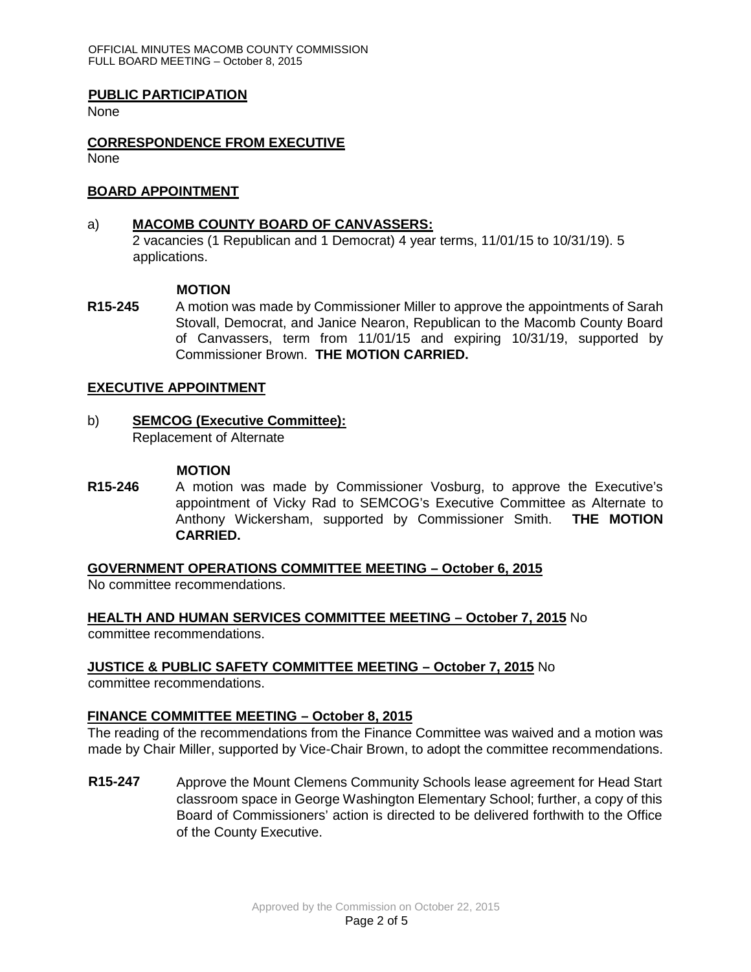### **PUBLIC PARTICIPATION**

None

#### **CORRESPONDENCE FROM EXECUTIVE** None

#### **BOARD APPOINTMENT**

### a) **MACOMB COUNTY BOARD OF CANVASSERS:**

2 vacancies (1 Republican and 1 Democrat) 4 year terms, 11/01/15 to 10/31/19). 5 applications.

### **MOTION**

**R15-245** A motion was made by Commissioner Miller to approve the appointments of Sarah Stovall, Democrat, and Janice Nearon, Republican to the Macomb County Board of Canvassers, term from 11/01/15 and expiring 10/31/19, supported by Commissioner Brown. **THE MOTION CARRIED.** 

### **EXECUTIVE APPOINTMENT**

b) **SEMCOG (Executive Committee):** Replacement of Alternate

#### **MOTION**

**R15-246** A motion was made by Commissioner Vosburg, to approve the Executive's appointment of Vicky Rad to SEMCOG's Executive Committee as Alternate to Anthony Wickersham, supported by Commissioner Smith. **THE MOTION CARRIED.** 

**GOVERNMENT OPERATIONS COMMITTEE MEETING – October 6, 2015**

No committee recommendations.

**HEALTH AND HUMAN SERVICES COMMITTEE MEETING – October 7, 2015** No committee recommendations.

# **JUSTICE & PUBLIC SAFETY COMMITTEE MEETING – October 7, 2015** No

committee recommendations.

# **FINANCE COMMITTEE MEETING – October 8, 2015**

The reading of the recommendations from the Finance Committee was waived and a motion was made by Chair Miller, supported by Vice-Chair Brown, to adopt the committee recommendations.

**R15-247** Approve the Mount Clemens Community Schools lease agreement for Head Start classroom space in George Washington Elementary School; further, a copy of this Board of Commissioners' action is directed to be delivered forthwith to the Office of the County Executive.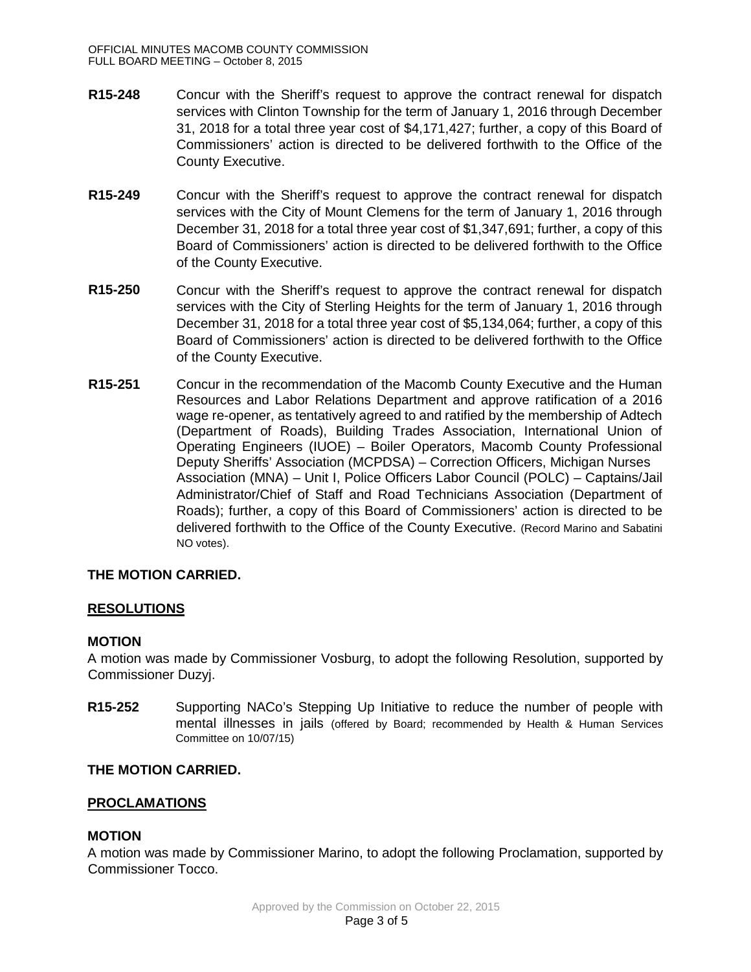- **R15-248** Concur with the Sheriff's request to approve the contract renewal for dispatch services with Clinton Township for the term of January 1, 2016 through December 31, 2018 for a total three year cost of \$4,171,427; further, a copy of this Board of Commissioners' action is directed to be delivered forthwith to the Office of the County Executive.
- **R15-249** Concur with the Sheriff's request to approve the contract renewal for dispatch services with the City of Mount Clemens for the term of January 1, 2016 through December 31, 2018 for a total three year cost of \$1,347,691; further, a copy of this Board of Commissioners' action is directed to be delivered forthwith to the Office of the County Executive.
- **R15-250** Concur with the Sheriff's request to approve the contract renewal for dispatch services with the City of Sterling Heights for the term of January 1, 2016 through December 31, 2018 for a total three year cost of \$5,134,064; further, a copy of this Board of Commissioners' action is directed to be delivered forthwith to the Office of the County Executive.
- **R15-251** Concur in the recommendation of the Macomb County Executive and the Human Resources and Labor Relations Department and approve ratification of a 2016 wage re-opener, as tentatively agreed to and ratified by the membership of Adtech (Department of Roads), Building Trades Association, International Union of Operating Engineers (IUOE) – Boiler Operators, Macomb County Professional Deputy Sheriffs' Association (MCPDSA) – Correction Officers, Michigan Nurses Association (MNA) – Unit I, Police Officers Labor Council (POLC) – Captains/Jail Administrator/Chief of Staff and Road Technicians Association (Department of Roads); further, a copy of this Board of Commissioners' action is directed to be delivered forthwith to the Office of the County Executive. (Record Marino and Sabatini NO votes).

# **THE MOTION CARRIED.**

# **RESOLUTIONS**

# **MOTION**

A motion was made by Commissioner Vosburg, to adopt the following Resolution, supported by Commissioner Duzyj.

**R15-252** Supporting NACo's Stepping Up Initiative to reduce the number of people with mental illnesses in jails (offered by Board; recommended by Health & Human Services Committee on 10/07/15)

# **THE MOTION CARRIED.**

# **PROCLAMATIONS**

#### **MOTION**

A motion was made by Commissioner Marino, to adopt the following Proclamation, supported by Commissioner Tocco.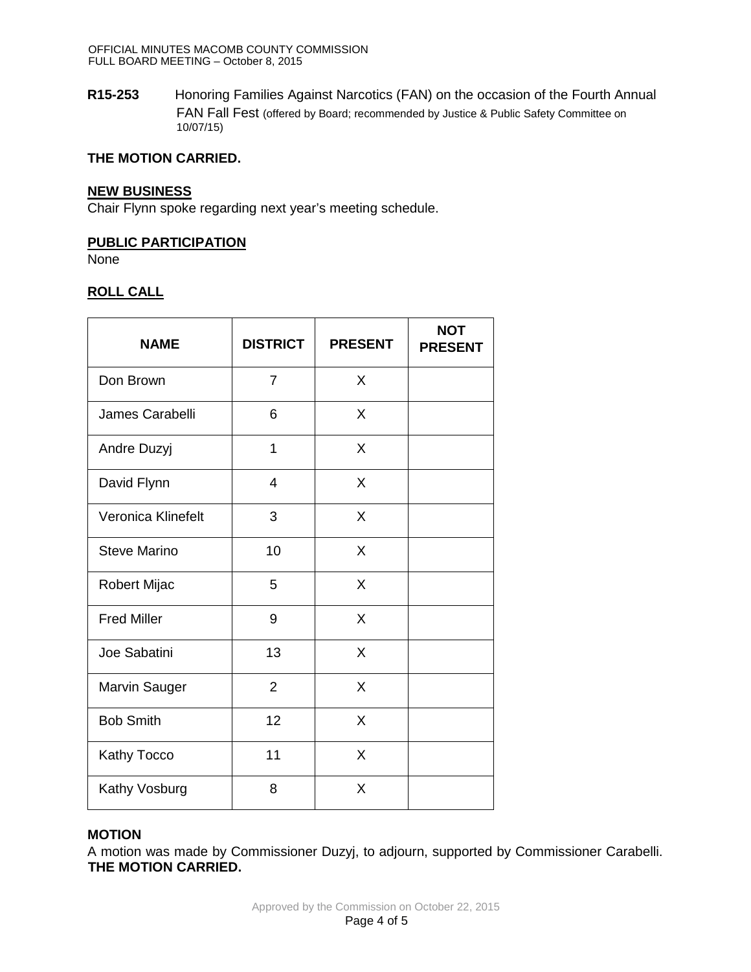**R15-253** Honoring Families Against Narcotics (FAN) on the occasion of the Fourth Annual FAN Fall Fest (offered by Board; recommended by Justice & Public Safety Committee on 10/07/15)

# **THE MOTION CARRIED.**

### **NEW BUSINESS**

Chair Flynn spoke regarding next year's meeting schedule.

# **PUBLIC PARTICIPATION**

None

# **ROLL CALL**

| <b>NAME</b>         | <b>DISTRICT</b> | <b>PRESENT</b> | <b>NOT</b><br><b>PRESENT</b> |
|---------------------|-----------------|----------------|------------------------------|
| Don Brown           | $\overline{7}$  | X              |                              |
| James Carabelli     | 6               | X              |                              |
| Andre Duzyj         | 1               | X              |                              |
| David Flynn         | $\overline{4}$  | X              |                              |
| Veronica Klinefelt  | 3               | X              |                              |
| <b>Steve Marino</b> | 10              | X              |                              |
| Robert Mijac        | 5               | X              |                              |
| <b>Fred Miller</b>  | 9               | X              |                              |
| Joe Sabatini        | 13              | X              |                              |
| Marvin Sauger       | $\overline{2}$  | X              |                              |
| <b>Bob Smith</b>    | 12              | X              |                              |
| Kathy Tocco         | 11              | X              |                              |
| Kathy Vosburg       | 8               | X              |                              |

# **MOTION**

A motion was made by Commissioner Duzyj, to adjourn, supported by Commissioner Carabelli. **THE MOTION CARRIED.**